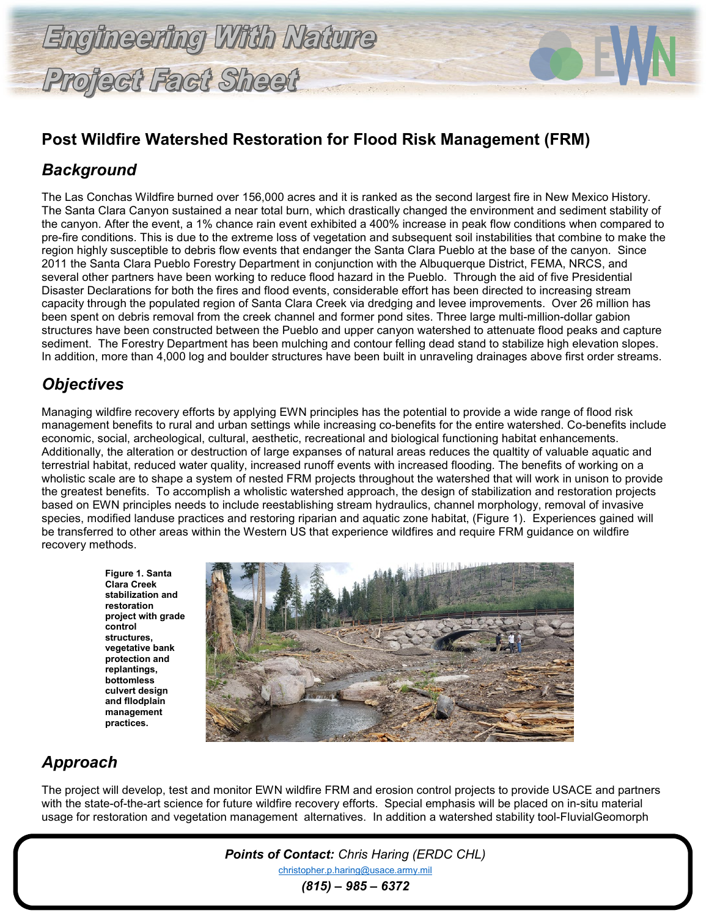# **Post Wildfire Watershed Restoration for Flood Risk Management (FRM)**

### *Background*

The Las Conchas Wildfire burned over 156,000 acres and it is ranked as the second largest fire in New Mexico History. The Santa Clara Canyon sustained a near total burn, which drastically changed the environment and sediment stability of the canyon. After the event, a 1% chance rain event exhibited a 400% increase in peak flow conditions when compared to pre-fire conditions. This is due to the extreme loss of vegetation and subsequent soil instabilities that combine to make the region highly susceptible to debris flow events that endanger the Santa Clara Pueblo at the base of the canyon. Since 2011 the Santa Clara Pueblo Forestry Department in conjunction with the Albuquerque District, FEMA, NRCS, and several other partners have been working to reduce flood hazard in the Pueblo. Through the aid of five Presidential Disaster Declarations for both the fires and flood events, considerable effort has been directed to increasing stream capacity through the populated region of Santa Clara Creek via dredging and levee improvements. Over 26 million has been spent on debris removal from the creek channel and former pond sites. Three large multi-million-dollar gabion structures have been constructed between the Pueblo and upper canyon watershed to attenuate flood peaks and capture sediment. The Forestry Department has been mulching and contour felling dead stand to stabilize high elevation slopes. In addition, more than 4,000 log and boulder structures have been built in unraveling drainages above first order streams.

#### *Objectives*

Managing wildfire recovery efforts by applying EWN principles has the potential to provide a wide range of flood risk management benefits to rural and urban settings while increasing co-benefits for the entire watershed. Co-benefits include economic, social, archeological, cultural, aesthetic, recreational and biological functioning habitat enhancements. Additionally, the alteration or destruction of large expanses of natural areas reduces the qualtity of valuable aquatic and terrestrial habitat, reduced water quality, increased runoff events with increased flooding. The benefits of working on a wholistic scale are to shape a system of nested FRM projects throughout the watershed that will work in unison to provide the greatest benefits. To accomplish a wholistic watershed approach, the design of stabilization and restoration projects based on EWN principles needs to include reestablishing stream hydraulics, channel morphology, removal of invasive species, modified landuse practices and restoring riparian and aquatic zone habitat, (Figure 1). Experiences gained will be transferred to other areas within the Western US that experience wildfires and require FRM guidance on wildfire recovery methods.

> **Figure 1. Santa Clara Creek stabilization and restoration project with grade control structures, vegetative bank protection and replantings, bottomless culvert design and fllodplain management practices.**



## *Approach*

The project will develop, test and monitor EWN wildfire FRM and erosion control projects to provide USACE and partners with the state-of-the-art science for future wildfire recovery efforts. Special emphasis will be placed on in-situ material usage for restoration and vegetation management alternatives. In addition a watershed stability tool-FluvialGeomorph

> *Points of Contact: Chris Haring (ERDC CHL)* [christopher.p.haring@usace.army.mil](mailto:christopher.p.haring@usace.army.mil) *(815) – 985 – 6372*